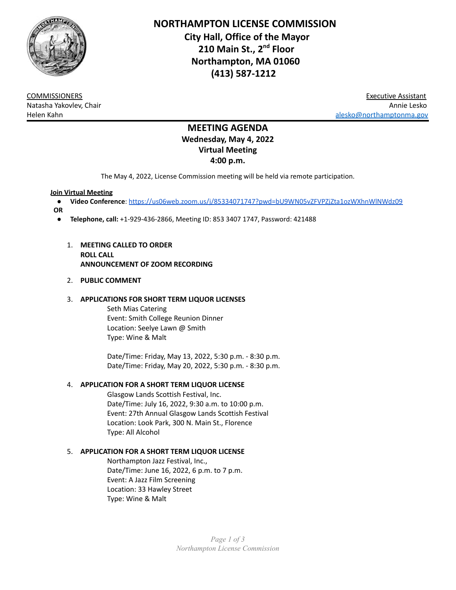

**NORTHAMPTON LICENSE COMMISSION City Hall, Office of the Mayor 210 Main St., 2 nd Floor Northampton, MA 01060 (413) 587-1212**

COMMISSIONERS Executive Assistant Natasha Yakovlev, Chair Annie Lesko Helen Kahn [alesko@northamptonma.gov](mailto:alesko@northamptonma.gov)

# **MEETING AGENDA Wednesday, May 4, 2022 Virtual Meeting 4:00 p.m.**

The May 4, 2022, License Commission meeting will be held via remote participation.

## **Join Virtual Meeting**

- **Video Conference**: <https://us06web.zoom.us/j/85334071747?pwd=bU9WN05vZFVPZjZta1ozWXhnWlNWdz09>
- **OR**
	- **Telephone, call:** +1-929-436-2866, Meeting ID: 853 3407 1747, Password: 421488
		- 1. **MEETING CALLED TO ORDER ROLL CALL ANNOUNCEMENT OF ZOOM RECORDING**
		- 2. **PUBLIC COMMENT**

## 3. **APPLICATIONS FOR SHORT TERM LIQUOR LICENSES**

Seth Mias Catering Event: Smith College Reunion Dinner Location: Seelye Lawn @ Smith Type: Wine & Malt

Date/Time: Friday, May 13, 2022, 5:30 p.m. - 8:30 p.m. Date/Time: Friday, May 20, 2022, 5:30 p.m. - 8:30 p.m.

# 4. **APPLICATION FOR A SHORT TERM LIQUOR LICENSE**

Glasgow Lands Scottish Festival, Inc. Date/Time: July 16, 2022, 9:30 a.m. to 10:00 p.m. Event: 27th Annual Glasgow Lands Scottish Festival Location: Look Park, 300 N. Main St., Florence Type: All Alcohol

# 5. **APPLICATION FOR A SHORT TERM LIQUOR LICENSE**

Northampton Jazz Festival, Inc., Date/Time: June 16, 2022, 6 p.m. to 7 p.m. Event: A Jazz Film Screening Location: 33 Hawley Street Type: Wine & Malt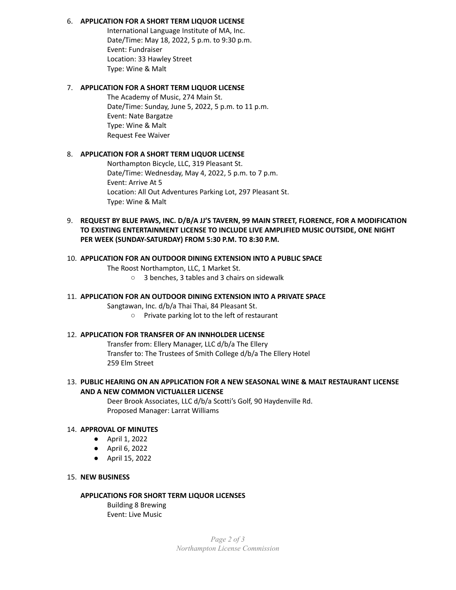## 6. **APPLICATION FOR A SHORT TERM LIQUOR LICENSE**

International Language Institute of MA, Inc. Date/Time: May 18, 2022, 5 p.m. to 9:30 p.m. Event: Fundraiser Location: 33 Hawley Street Type: Wine & Malt

## 7. **APPLICATION FOR A SHORT TERM LIQUOR LICENSE**

The Academy of Music, 274 Main St. Date/Time: Sunday, June 5, 2022, 5 p.m. to 11 p.m. Event: Nate Bargatze Type: Wine & Malt Request Fee Waiver

## 8. **APPLICATION FOR A SHORT TERM LIQUOR LICENSE**

Northampton Bicycle, LLC, 319 Pleasant St. Date/Time: Wednesday, May 4, 2022, 5 p.m. to 7 p.m. Event: Arrive At 5 Location: All Out Adventures Parking Lot, 297 Pleasant St. Type: Wine & Malt

9. **REQUEST BY BLUE PAWS, INC. D/B/A JJ'S TAVERN, 99 MAIN STREET, FLORENCE, FOR A MODIFICATION TO EXISTING ENTERTAINMENT LICENSE TO INCLUDE LIVE AMPLIFIED MUSIC OUTSIDE, ONE NIGHT PER WEEK (SUNDAY-SATURDAY) FROM 5:30 P.M. TO 8:30 P.M.**

# 10. **APPLICATION FOR AN OUTDOOR DINING EXTENSION INTO A PUBLIC SPACE**

The Roost Northampton, LLC, 1 Market St.

○ 3 benches, 3 tables and 3 chairs on sidewalk

## 11. **APPLICATION FOR AN OUTDOOR DINING EXTENSION INTO A PRIVATE SPACE**

Sangtawan, Inc. d/b/a Thai Thai, 84 Pleasant St.

○ Private parking lot to the left of restaurant

## 12. **APPLICATION FOR TRANSFER OF AN INNHOLDER LICENSE**

Transfer from: Ellery Manager, LLC d/b/a The Ellery Transfer to: The Trustees of Smith College d/b/a The Ellery Hotel 259 Elm Street

## 13. **PUBLIC HEARING ON AN APPLICATION FOR A NEW SEASONAL WINE & MALT RESTAURANT LICENSE AND A NEW COMMON VICTUALLER LICENSE**

Deer Brook Associates, LLC d/b/a Scotti's Golf, 90 Haydenville Rd. Proposed Manager: Larrat Williams

#### 14. **APPROVAL OF MINUTES**

- April 1, 2022
- April 6, 2022
- April 15, 2022

#### 15. **NEW BUSINESS**

## **APPLICATIONS FOR SHORT TERM LIQUOR LICENSES**

Building 8 Brewing Event: Live Music